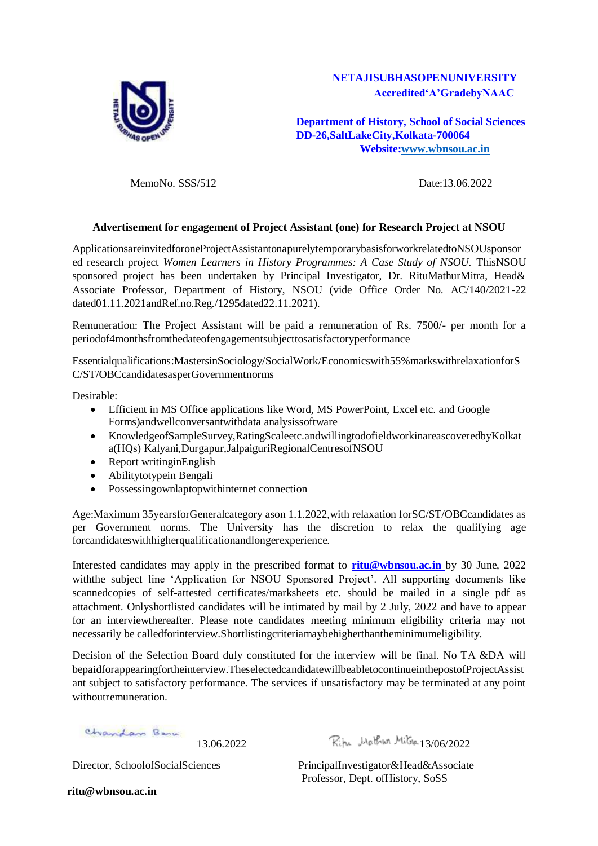

# **NETAJISUBHASOPENUNIVERSITY Accredited'A'GradebyNAAC**

**Department of History, School of Social Sciences DD-26,SaltLakeCity,Kolkata-700064 Website[:www.wbnsou.ac.in](http://www.wbnsou.ac.in/)**

MemoNo. SSS/512 Date:13.06.2022

# **Advertisement for engagement of Project Assistant (one) for Research Project at NSOU**

ApplicationsareinvitedforoneProjectAssistantonapurelytemporarybasisforworkrelatedtoNSOUsponsor ed research project *Women Learners in History Programmes: A Case Study of NSOU.* ThisNSOU sponsored project has been undertaken by Principal Investigator, Dr. RituMathurMitra, Head& Associate Professor, Department of History, NSOU (vide Office Order No. AC/140/2021-22 dated01.11.2021andRef.no.Reg./1295dated22.11.2021).

Remuneration: The Project Assistant will be paid a remuneration of Rs. 7500/- per month for a periodof4monthsfromthedateofengagementsubjecttosatisfactoryperformance

Essentialqualifications:MastersinSociology/SocialWork/Economicswith55%markswithrelaxationforS C/ST/OBCcandidatesasperGovernmentnorms

Desirable:

- Efficient in MS Office applications like Word, MS PowerPoint, Excel etc. and Google Forms)andwellconversantwithdata analysissoftware
- KnowledgeofSampleSurvey,RatingScaleetc.andwillingtodofieldworkinareascoveredbyKolkat a(HQs) Kalyani,Durgapur,JalpaiguriRegionalCentresofNSOU
- Report writing in English
- Abilitytotypein Bengali
- Possessingownlaptopwithinternet connection

Age:Maximum 35yearsforGeneralcategory ason 1.1.2022,with relaxation forSC/ST/OBCcandidates as per Government norms. The University has the discretion to relax the qualifying age forcandidateswithhigherqualificationandlongerexperience.

Interested candidates may apply in the prescribed format to **[ritu@wbnsou.ac.in](mailto:ritu@wbnsou.ac.in)** by 30 June, 2022 withthe subject line 'Application for NSOU Sponsored Project'. All supporting documents like scannedcopies of self-attested certificates/marksheets etc. should be mailed in a single pdf as attachment. Onlyshortlisted candidates will be intimated by mail by 2 July, 2022 and have to appear for an interviewthereafter. Please note candidates meeting minimum eligibility criteria may not necessarily be calledforinterview.Shortlistingcriteriamaybehigherthantheminimumeligibility.

Decision of the Selection Board duly constituted for the interview will be final. No TA &DA will bepaidforappearingfortheinterview.TheselectedcandidatewillbeabletocontinueinthepostofProjectAssist ant subject to satisfactory performance. The services if unsatisfactory may be terminated at any point withoutremuneration.

Chandan Barn

13.06.2022 Riha Mathua Mitson 13/06/2022

Director, SchoolofSocialSciences PrincipalInvestigator&Head&Associate Professor, Dept. ofHistory, SoSS

**ritu@wbnsou.ac.in**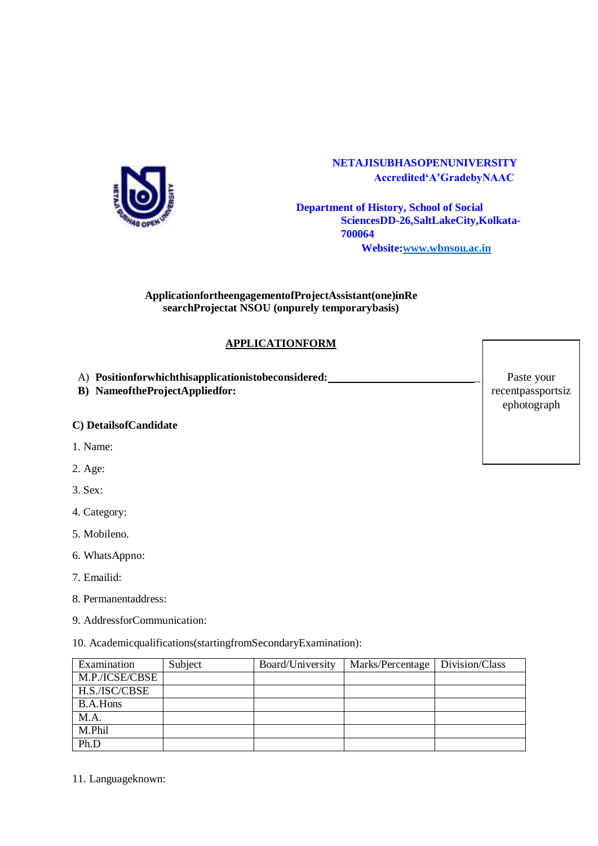

# **NETAJISUBHASOPENUNIVERSITY Accredited'A'GradebyNAAC**

**Department of History, School of Social SciencesDD-26,SaltLakeCity,Kolkata-700064 Website[:www.wbnsou.ac.in](http://www.wbnsou.ac.in/)**

#### **ApplicationfortheengagementofProjectAssistant(one)inRe searchProjectat NSOU (onpurely temporarybasis)**

# **APPLICATIONFORM**

A) **Positionforwhichthisapplicationistobeconsidered:** \_

**B) NameoftheProjectAppliedfor:**

#### **C) DetailsofCandidate**

- 1. Name:
- 2. Age:

# 3. Sex:

- 4. Category:
- 5. Mobileno.
- 6. WhatsAppno:
- 7. Emailid:
- 8. Permanentaddress:
- 9. AddressforCommunication:
- 10. Academicqualifications(startingfromSecondaryExamination):

| Examination     | Subject | Board/University | Marks/Percentage   Division/Class |  |
|-----------------|---------|------------------|-----------------------------------|--|
| M.P./ICSE/CBSE  |         |                  |                                   |  |
| H.S./ISC/CBSE   |         |                  |                                   |  |
| <b>B.A.Hons</b> |         |                  |                                   |  |
| M.A.            |         |                  |                                   |  |
| M.Phil          |         |                  |                                   |  |
| Ph.D            |         |                  |                                   |  |

11. Languageknown:

Paste your recentpassportsiz ephotograph